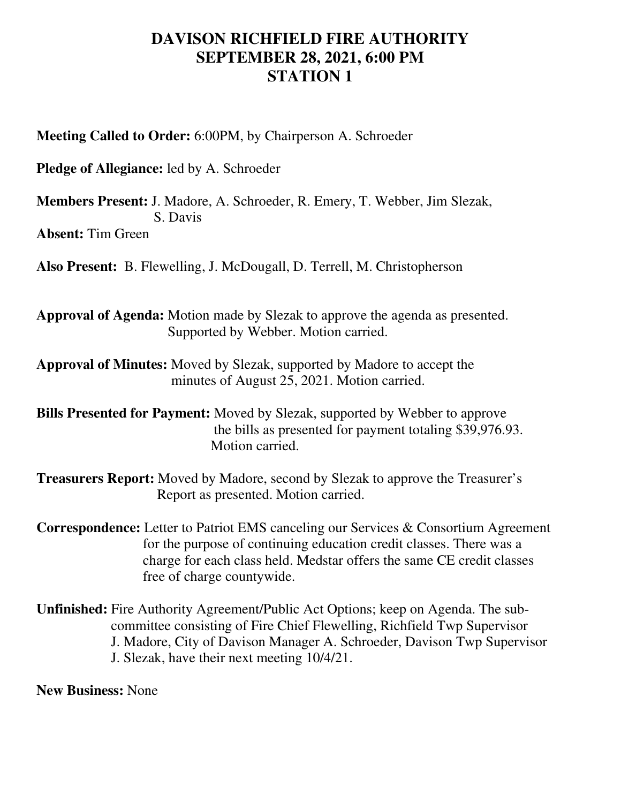## **DAVISON RICHFIELD FIRE AUTHORITY SEPTEMBER 28, 2021, 6:00 PM STATION 1**

**Meeting Called to Order:** 6:00PM, by Chairperson A. Schroeder

**Pledge of Allegiance:** led by A. Schroeder

**Members Present:** J. Madore, A. Schroeder, R. Emery, T. Webber, Jim Slezak, S. Davis

**Absent:** Tim Green

**Also Present:** B. Flewelling, J. McDougall, D. Terrell, M. Christopherson

**Approval of Agenda:** Motion made by Slezak to approve the agenda as presented. Supported by Webber. Motion carried.

**Approval of Minutes:** Moved by Slezak, supported by Madore to accept the minutes of August 25, 2021. Motion carried.

**Bills Presented for Payment:** Moved by Slezak, supported by Webber to approve the bills as presented for payment totaling \$39,976.93. Motion carried.

**Treasurers Report:** Moved by Madore, second by Slezak to approve the Treasurer's Report as presented. Motion carried.

**Correspondence:** Letter to Patriot EMS canceling our Services & Consortium Agreement for the purpose of continuing education credit classes. There was a charge for each class held. Medstar offers the same CE credit classes free of charge countywide.

**Unfinished:** Fire Authority Agreement/Public Act Options; keep on Agenda. The sub committee consisting of Fire Chief Flewelling, Richfield Twp Supervisor J. Madore, City of Davison Manager A. Schroeder, Davison Twp Supervisor J. Slezak, have their next meeting 10/4/21.

**New Business:** None